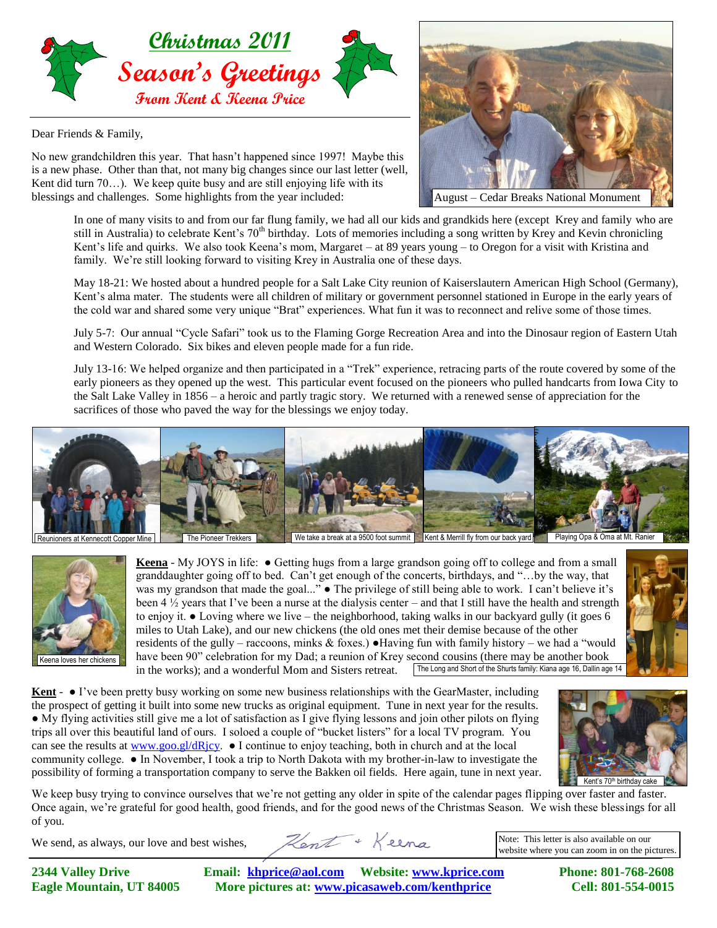

Dear Friends & Family,

No new grandchildren this year. That hasn't happened since 1997! Maybe this is a new phase. Other than that, not many big changes since our last letter (well, Kent did turn 70…). We keep quite busy and are still enjoying life with its blessings and challenges. Some highlights from the year included:



In one of many visits to and from our far flung family, we had all our kids and grandkids here (except Krey and family who are still in Australia) to celebrate Kent's 70<sup>th</sup> birthday. Lots of memories including a song written by Krey and Kevin chronicling Kent's life and quirks. We also took Keena's mom, Margaret – at 89 years young – to Oregon for a visit with Kristina and family. We're still looking forward to visiting Krey in Australia one of these days.

May 18-21: We hosted about a hundred people for a Salt Lake City reunion of Kaiserslautern American High School (Germany), Kent's alma mater. The students were all children of military or government personnel stationed in Europe in the early years of the cold war and shared some very unique "Brat" experiences. What fun it was to reconnect and relive some of those times.

July 5-7: Our annual "Cycle Safari" took us to the Flaming Gorge Recreation Area and into the Dinosaur region of Eastern Utah and Western Colorado. Six bikes and eleven people made for a fun ride.

July 13-16: We helped organize and then participated in a "Trek" experience, retracing parts of the route covered by some of the early pioneers as they opened up the west. This particular event focused on the pioneers who pulled handcarts from Iowa City to the Salt Lake Valley in 1856 – a heroic and partly tragic story. We returned with a renewed sense of appreciation for the sacrifices of those who paved the way for the blessings we enjoy today.





**Keena** - My JOYS in life: ● Getting hugs from a large grandson going off to college and from a small granddaughter going off to bed. Can't get enough of the concerts, birthdays, and "…by the way, that was my grandson that made the goal..." • The privilege of still being able to work. I can't believe it's been 4  $\frac{1}{2}$  years that I've been a nurse at the dialysis center – and that I still have the health and strength to enjoy it. ● Loving where we live – the neighborhood, taking walks in our backyard gully (it goes 6 miles to Utah Lake), and our new chickens (the old ones met their demise because of the other residents of the gully – raccoons, minks  $\&$  foxes.) • Having fun with family history – we had a "would" have been 90" celebration for my Dad; a reunion of Krey second cousins (there may be another book in the works); and a wonderful Mom and Sisters retreat. The Long and Short of the Shurts family: Kiana age 16, Dallin age 14



**Kent** - ● I've been pretty busy working on some new business relationships with the GearMaster, including the prospect of getting it built into some new trucks as original equipment. Tune in next year for the results. ● My flying activities still give me a lot of satisfaction as I give flying lessons and join other pilots on flying trips all over this beautiful land of ours. I soloed a couple of "bucket listers" for a local TV program. You can see the results at [www.goo.gl/dRjcy.](http://www.goo.gl/dRjcy)  $\bullet$  I continue to enjoy teaching, both in church and at the local community college. ● In November, I took a trip to North Dakota with my brother-in-law to investigate the possibility of forming a transportation company to serve the Bakken oil fields. Here again, tune in next year.



Kent's 70<sup>th</sup> birthday cak

We keep busy trying to convince ourselves that we're not getting any older in spite of the calendar pages flipping over faster and faster. Once again, we're grateful for good health, good friends, and for the good news of the Christmas Season. We wish these blessings for all of you.

We send, as always, our love and best wishes,

Kent + Keena

Note: This letter is also available on our website where you can zoom in on the pictures.

**2344 Valley Drive Email: [khprice@aol.com](mailto:khprice@aol.com) Website: [www.kprice.com](http://www.kprice.com/) Phone: 801-768-2608 Eagle Mountain, UT 84005 More pictures at: www.picasaweb.com/kenthprice Cell: 801-554-0015**